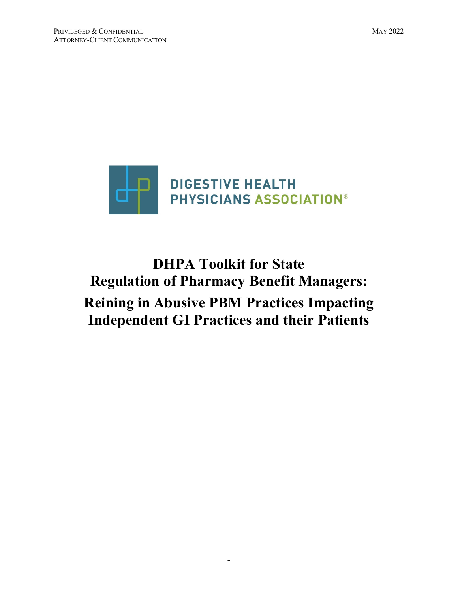

# **DHPA Toolkit for State Regulation of Pharmacy Benefit Managers: Reining in Abusive PBM Practices Impacting Independent GI Practices and their Patients**

-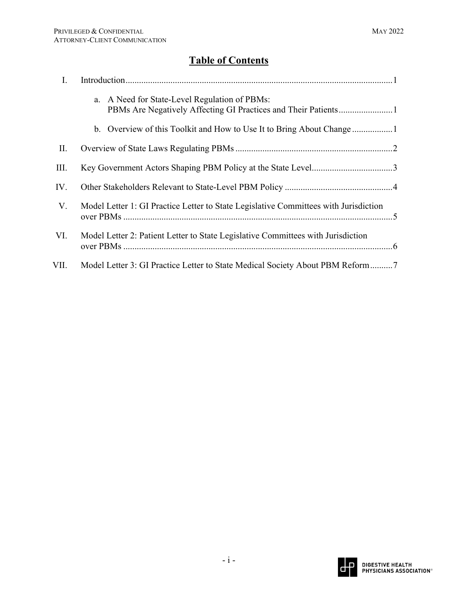## **Table of Contents**

| I.   |                                                                                      |
|------|--------------------------------------------------------------------------------------|
|      | a. A Need for State-Level Regulation of PBMs:                                        |
|      |                                                                                      |
| II.  |                                                                                      |
| Ш.   |                                                                                      |
| IV.  |                                                                                      |
| V.   | Model Letter 1: GI Practice Letter to State Legislative Committees with Jurisdiction |
| VI.  | Model Letter 2: Patient Letter to State Legislative Committees with Jurisdiction     |
| VII. | Model Letter 3: GI Practice Letter to State Medical Society About PBM Reform7        |

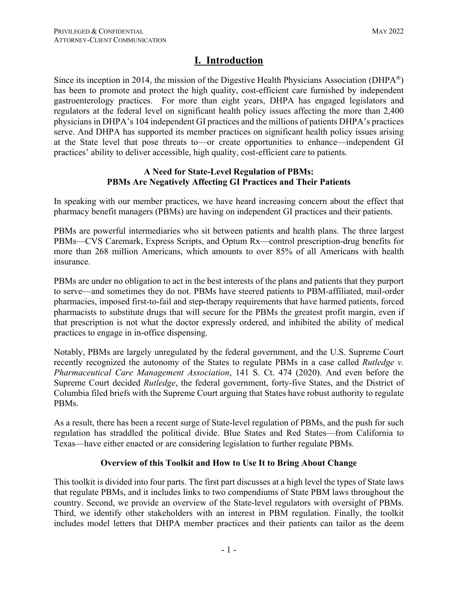### **I. Introduction**

Since its inception in 2014, the mission of the Digestive Health Physicians Association (DHPA<sup>®</sup>) has been to promote and protect the high quality, cost-efficient care furnished by independent gastroenterology practices. For more than eight years, DHPA has engaged legislators and regulators at the federal level on significant health policy issues affecting the more than 2,400 physicians in DHPA's 104 independent GI practices and the millions of patients DHPA's practices serve. And DHPA has supported its member practices on significant health policy issues arising at the State level that pose threats to—or create opportunities to enhance—independent GI practices' ability to deliver accessible, high quality, cost-efficient care to patients.

#### **A Need for State-Level Regulation of PBMs: PBMs Are Negatively Affecting GI Practices and Their Patients**

In speaking with our member practices, we have heard increasing concern about the effect that pharmacy benefit managers (PBMs) are having on independent GI practices and their patients.

PBMs are powerful intermediaries who sit between patients and health plans. The three largest PBMs—CVS Caremark, Express Scripts, and Optum Rx—control prescription-drug benefits for more than 268 million Americans, which amounts to over 85% of all Americans with health insurance.

PBMs are under no obligation to act in the best interests of the plans and patients that they purport to serve—and sometimes they do not. PBMs have steered patients to PBM-affiliated, mail-order pharmacies, imposed first-to-fail and step-therapy requirements that have harmed patients, forced pharmacists to substitute drugs that will secure for the PBMs the greatest profit margin, even if that prescription is not what the doctor expressly ordered, and inhibited the ability of medical practices to engage in in-office dispensing.

Notably, PBMs are largely unregulated by the federal government, and the U.S. Supreme Court recently recognized the autonomy of the States to regulate PBMs in a case called *Rutledge v. Pharmaceutical Care Management Association*, 141 S. Ct. 474 (2020). And even before the Supreme Court decided *Rutledge*, the federal government, forty-five States, and the District of Columbia filed briefs with the Supreme Court arguing that States have robust authority to regulate PBMs.

As a result, there has been a recent surge of State-level regulation of PBMs, and the push for such regulation has straddled the political divide. Blue States and Red States—from California to Texas—have either enacted or are considering legislation to further regulate PBMs.

#### **Overview of this Toolkit and How to Use It to Bring About Change**

This toolkit is divided into four parts. The first part discusses at a high level the types of State laws that regulate PBMs, and it includes links to two compendiums of State PBM laws throughout the country. Second, we provide an overview of the State-level regulators with oversight of PBMs. Third, we identify other stakeholders with an interest in PBM regulation. Finally, the toolkit includes model letters that DHPA member practices and their patients can tailor as the deem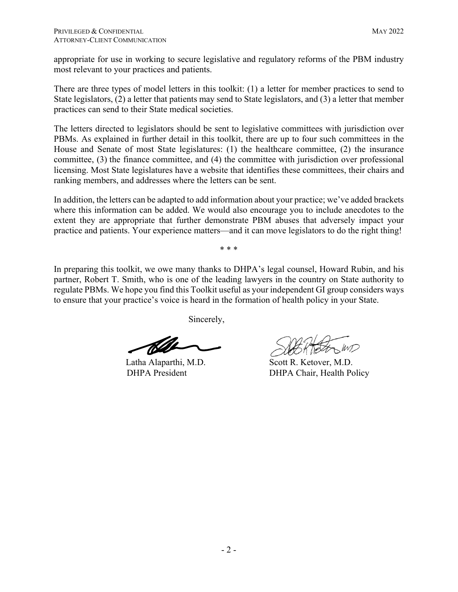appropriate for use in working to secure legislative and regulatory reforms of the PBM industry most relevant to your practices and patients.

There are three types of model letters in this toolkit: (1) a letter for member practices to send to State legislators, (2) a letter that patients may send to State legislators, and (3) a letter that member practices can send to their State medical societies.

The letters directed to legislators should be sent to legislative committees with jurisdiction over PBMs. As explained in further detail in this toolkit, there are up to four such committees in the House and Senate of most State legislatures: (1) the healthcare committee, (2) the insurance committee, (3) the finance committee, and (4) the committee with jurisdiction over professional licensing. Most State legislatures have a website that identifies these committees, their chairs and ranking members, and addresses where the letters can be sent.

In addition, the letters can be adapted to add information about your practice; we've added brackets where this information can be added. We would also encourage you to include anecdotes to the extent they are appropriate that further demonstrate PBM abuses that adversely impact your practice and patients. Your experience matters—and it can move legislators to do the right thing!

\* \* \*

In preparing this toolkit, we owe many thanks to DHPA's legal counsel, Howard Rubin, and his partner, Robert T. Smith, who is one of the leading lawyers in the country on State authority to regulate PBMs. We hope you find this Toolkit useful as your independent GI group considers ways to ensure that your practice's voice is heard in the formation of health policy in your State.

Sincerely,

 Latha Alaparthi, M.D. DHPA President

Scott R. Ketover, M.D. DHPA Chair, Health Policy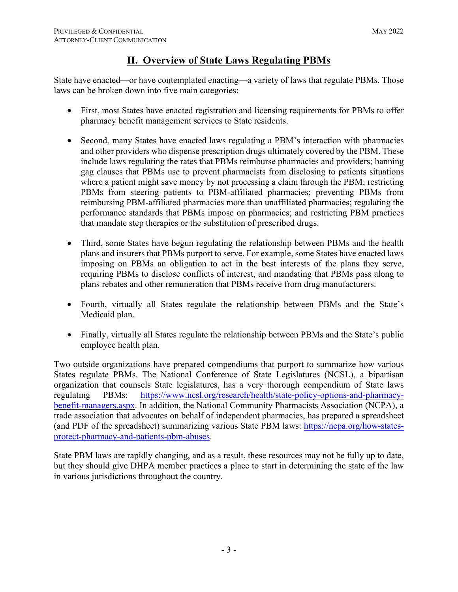## **II. Overview of State Laws Regulating PBMs**

State have enacted—or have contemplated enacting—a variety of laws that regulate PBMs. Those laws can be broken down into five main categories:

- First, most States have enacted registration and licensing requirements for PBMs to offer pharmacy benefit management services to State residents.
- Second, many States have enacted laws regulating a PBM's interaction with pharmacies and other providers who dispense prescription drugs ultimately covered by the PBM. These include laws regulating the rates that PBMs reimburse pharmacies and providers; banning gag clauses that PBMs use to prevent pharmacists from disclosing to patients situations where a patient might save money by not processing a claim through the PBM; restricting PBMs from steering patients to PBM-affiliated pharmacies; preventing PBMs from reimbursing PBM-affiliated pharmacies more than unaffiliated pharmacies; regulating the performance standards that PBMs impose on pharmacies; and restricting PBM practices that mandate step therapies or the substitution of prescribed drugs.
- Third, some States have begun regulating the relationship between PBMs and the health plans and insurers that PBMs purport to serve. For example, some States have enacted laws imposing on PBMs an obligation to act in the best interests of the plans they serve, requiring PBMs to disclose conflicts of interest, and mandating that PBMs pass along to plans rebates and other remuneration that PBMs receive from drug manufacturers.
- Fourth, virtually all States regulate the relationship between PBMs and the State's Medicaid plan.
- Finally, virtually all States regulate the relationship between PBMs and the State's public employee health plan.

Two outside organizations have prepared compendiums that purport to summarize how various States regulate PBMs. The National Conference of State Legislatures (NCSL), a bipartisan organization that counsels State legislatures, has a very thorough compendium of State laws regulating PBMs: https://www.ncsl.org/research/health/state-policy-options-and-pharmacybenefit-managers.aspx. In addition, the National Community Pharmacists Association (NCPA), a trade association that advocates on behalf of independent pharmacies, has prepared a spreadsheet (and PDF of the spreadsheet) summarizing various State PBM laws: https://ncpa.org/how-statesprotect-pharmacy-and-patients-pbm-abuses.

State PBM laws are rapidly changing, and as a result, these resources may not be fully up to date, but they should give DHPA member practices a place to start in determining the state of the law in various jurisdictions throughout the country.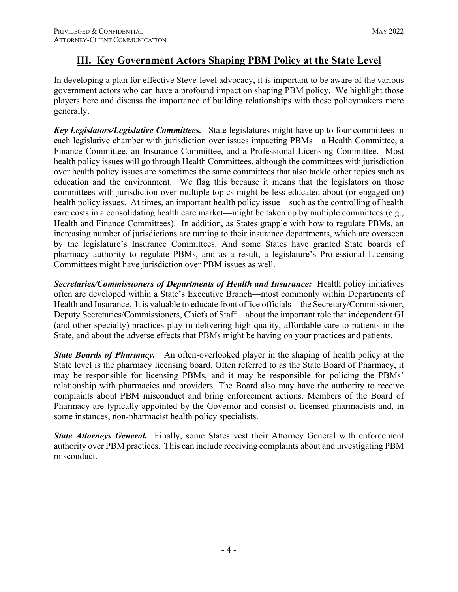#### **III. Key Government Actors Shaping PBM Policy at the State Level**

In developing a plan for effective Steve-level advocacy, it is important to be aware of the various government actors who can have a profound impact on shaping PBM policy. We highlight those players here and discuss the importance of building relationships with these policymakers more generally.

*Key Legislators/Legislative Committees.* State legislatures might have up to four committees in each legislative chamber with jurisdiction over issues impacting PBMs—a Health Committee, a Finance Committee, an Insurance Committee, and a Professional Licensing Committee. Most health policy issues will go through Health Committees, although the committees with jurisdiction over health policy issues are sometimes the same committees that also tackle other topics such as education and the environment. We flag this because it means that the legislators on those committees with jurisdiction over multiple topics might be less educated about (or engaged on) health policy issues. At times, an important health policy issue—such as the controlling of health care costs in a consolidating health care market—might be taken up by multiple committees (e.g., Health and Finance Committees). In addition, as States grapple with how to regulate PBMs, an increasing number of jurisdictions are turning to their insurance departments, which are overseen by the legislature's Insurance Committees. And some States have granted State boards of pharmacy authority to regulate PBMs, and as a result, a legislature's Professional Licensing Committees might have jurisdiction over PBM issues as well.

*Secretaries/Commissioners of Departments of Health and Insurance:* Health policy initiatives often are developed within a State's Executive Branch—most commonly within Departments of Health and Insurance. It is valuable to educate front office officials—the Secretary/Commissioner, Deputy Secretaries/Commissioners, Chiefs of Staff—about the important role that independent GI (and other specialty) practices play in delivering high quality, affordable care to patients in the State, and about the adverse effects that PBMs might be having on your practices and patients.

*State Boards of Pharmacy.* An often-overlooked player in the shaping of health policy at the State level is the pharmacy licensing board. Often referred to as the State Board of Pharmacy, it may be responsible for licensing PBMs, and it may be responsible for policing the PBMs' relationship with pharmacies and providers. The Board also may have the authority to receive complaints about PBM misconduct and bring enforcement actions. Members of the Board of Pharmacy are typically appointed by the Governor and consist of licensed pharmacists and, in some instances, non-pharmacist health policy specialists.

*State Attorneys General.* Finally, some States vest their Attorney General with enforcement authority over PBM practices. This can include receiving complaints about and investigating PBM misconduct.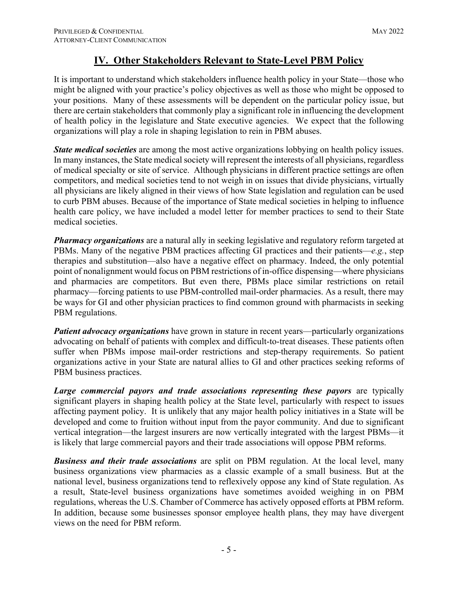## **IV. Other Stakeholders Relevant to State-Level PBM Policy**

It is important to understand which stakeholders influence health policy in your State—those who might be aligned with your practice's policy objectives as well as those who might be opposed to your positions. Many of these assessments will be dependent on the particular policy issue, but there are certain stakeholders that commonly play a significant role in influencing the development of health policy in the legislature and State executive agencies. We expect that the following organizations will play a role in shaping legislation to rein in PBM abuses.

*State medical societies* are among the most active organizations lobbying on health policy issues. In many instances, the State medical society will represent the interests of all physicians, regardless of medical specialty or site of service. Although physicians in different practice settings are often competitors, and medical societies tend to not weigh in on issues that divide physicians, virtually all physicians are likely aligned in their views of how State legislation and regulation can be used to curb PBM abuses. Because of the importance of State medical societies in helping to influence health care policy, we have included a model letter for member practices to send to their State medical societies.

*Pharmacy organizations* are a natural ally in seeking legislative and regulatory reform targeted at PBMs. Many of the negative PBM practices affecting GI practices and their patients—*e.g.*, step therapies and substitution—also have a negative effect on pharmacy. Indeed, the only potential point of nonalignment would focus on PBM restrictions of in-office dispensing—where physicians and pharmacies are competitors. But even there, PBMs place similar restrictions on retail pharmacy—forcing patients to use PBM-controlled mail-order pharmacies. As a result, there may be ways for GI and other physician practices to find common ground with pharmacists in seeking PBM regulations.

*Patient advocacy organizations* have grown in stature in recent years—particularly organizations advocating on behalf of patients with complex and difficult-to-treat diseases. These patients often suffer when PBMs impose mail-order restrictions and step-therapy requirements. So patient organizations active in your State are natural allies to GI and other practices seeking reforms of PBM business practices.

*Large commercial payors and trade associations representing these payors* are typically significant players in shaping health policy at the State level, particularly with respect to issues affecting payment policy. It is unlikely that any major health policy initiatives in a State will be developed and come to fruition without input from the payor community. And due to significant vertical integration—the largest insurers are now vertically integrated with the largest PBMs—it is likely that large commercial payors and their trade associations will oppose PBM reforms.

**Business and their trade associations** are split on PBM regulation. At the local level, many business organizations view pharmacies as a classic example of a small business. But at the national level, business organizations tend to reflexively oppose any kind of State regulation. As a result, State-level business organizations have sometimes avoided weighing in on PBM regulations, whereas the U.S. Chamber of Commerce has actively opposed efforts at PBM reform. In addition, because some businesses sponsor employee health plans, they may have divergent views on the need for PBM reform.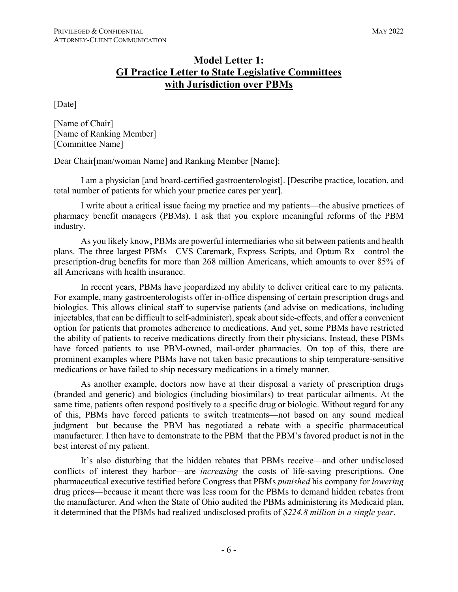#### **Model Letter 1: GI Practice Letter to State Legislative Committees with Jurisdiction over PBMs**

[Date]

[Name of Chair] [Name of Ranking Member] [Committee Name]

Dear Chair[man/woman Name] and Ranking Member [Name]:

I am a physician [and board-certified gastroenterologist]. [Describe practice, location, and total number of patients for which your practice cares per year].

I write about a critical issue facing my practice and my patients—the abusive practices of pharmacy benefit managers (PBMs). I ask that you explore meaningful reforms of the PBM industry.

As you likely know, PBMs are powerful intermediaries who sit between patients and health plans. The three largest PBMs—CVS Caremark, Express Scripts, and Optum Rx—control the prescription-drug benefits for more than 268 million Americans, which amounts to over 85% of all Americans with health insurance.

In recent years, PBMs have jeopardized my ability to deliver critical care to my patients. For example, many gastroenterologists offer in-office dispensing of certain prescription drugs and biologics. This allows clinical staff to supervise patients (and advise on medications, including injectables, that can be difficult to self-administer), speak about side-effects, and offer a convenient option for patients that promotes adherence to medications. And yet, some PBMs have restricted the ability of patients to receive medications directly from their physicians. Instead, these PBMs have forced patients to use PBM-owned, mail-order pharmacies. On top of this, there are prominent examples where PBMs have not taken basic precautions to ship temperature-sensitive medications or have failed to ship necessary medications in a timely manner.

As another example, doctors now have at their disposal a variety of prescription drugs (branded and generic) and biologics (including biosimilars) to treat particular ailments. At the same time, patients often respond positively to a specific drug or biologic. Without regard for any of this, PBMs have forced patients to switch treatments—not based on any sound medical judgment—but because the PBM has negotiated a rebate with a specific pharmaceutical manufacturer. I then have to demonstrate to the PBM that the PBM's favored product is not in the best interest of my patient.

It's also disturbing that the hidden rebates that PBMs receive—and other undisclosed conflicts of interest they harbor—are *increasing* the costs of life-saving prescriptions. One pharmaceutical executive testified before Congress that PBMs *punished* his company for *lowering*  drug prices—because it meant there was less room for the PBMs to demand hidden rebates from the manufacturer. And when the State of Ohio audited the PBMs administering its Medicaid plan, it determined that the PBMs had realized undisclosed profits of *\$224.8 million in a single year*.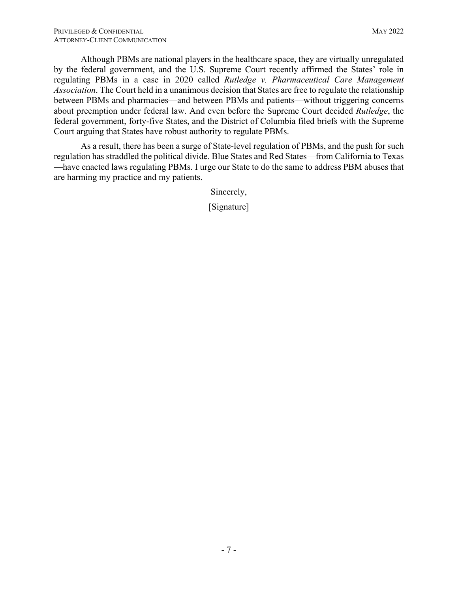Although PBMs are national players in the healthcare space, they are virtually unregulated by the federal government, and the U.S. Supreme Court recently affirmed the States' role in regulating PBMs in a case in 2020 called *Rutledge v. Pharmaceutical Care Management Association*. The Court held in a unanimous decision that States are free to regulate the relationship between PBMs and pharmacies—and between PBMs and patients—without triggering concerns about preemption under federal law. And even before the Supreme Court decided *Rutledge*, the federal government, forty-five States, and the District of Columbia filed briefs with the Supreme Court arguing that States have robust authority to regulate PBMs.

As a result, there has been a surge of State-level regulation of PBMs, and the push for such regulation has straddled the political divide. Blue States and Red States—from California to Texas —have enacted laws regulating PBMs. I urge our State to do the same to address PBM abuses that are harming my practice and my patients.

Sincerely,

[Signature]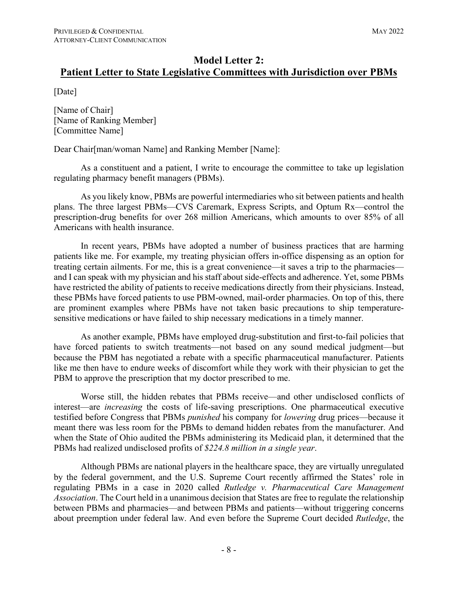## **Model Letter 2:**

#### **Patient Letter to State Legislative Committees with Jurisdiction over PBMs**

[Date]

[Name of Chair] [Name of Ranking Member] [Committee Name]

Dear Chair[man/woman Name] and Ranking Member [Name]:

As a constituent and a patient, I write to encourage the committee to take up legislation regulating pharmacy benefit managers (PBMs).

As you likely know, PBMs are powerful intermediaries who sit between patients and health plans. The three largest PBMs—CVS Caremark, Express Scripts, and Optum Rx—control the prescription-drug benefits for over 268 million Americans, which amounts to over 85% of all Americans with health insurance.

In recent years, PBMs have adopted a number of business practices that are harming patients like me. For example, my treating physician offers in-office dispensing as an option for treating certain ailments. For me, this is a great convenience—it saves a trip to the pharmacies and I can speak with my physician and his staff about side-effects and adherence. Yet, some PBMs have restricted the ability of patients to receive medications directly from their physicians. Instead, these PBMs have forced patients to use PBM-owned, mail-order pharmacies. On top of this, there are prominent examples where PBMs have not taken basic precautions to ship temperaturesensitive medications or have failed to ship necessary medications in a timely manner.

As another example, PBMs have employed drug-substitution and first-to-fail policies that have forced patients to switch treatments—not based on any sound medical judgment—but because the PBM has negotiated a rebate with a specific pharmaceutical manufacturer. Patients like me then have to endure weeks of discomfort while they work with their physician to get the PBM to approve the prescription that my doctor prescribed to me.

Worse still, the hidden rebates that PBMs receive—and other undisclosed conflicts of interest—are *increasing* the costs of life-saving prescriptions. One pharmaceutical executive testified before Congress that PBMs *punished* his company for *lowering* drug prices—because it meant there was less room for the PBMs to demand hidden rebates from the manufacturer. And when the State of Ohio audited the PBMs administering its Medicaid plan, it determined that the PBMs had realized undisclosed profits of *\$224.8 million in a single year*.

Although PBMs are national players in the healthcare space, they are virtually unregulated by the federal government, and the U.S. Supreme Court recently affirmed the States' role in regulating PBMs in a case in 2020 called *Rutledge v. Pharmaceutical Care Management Association*. The Court held in a unanimous decision that States are free to regulate the relationship between PBMs and pharmacies—and between PBMs and patients—without triggering concerns about preemption under federal law. And even before the Supreme Court decided *Rutledge*, the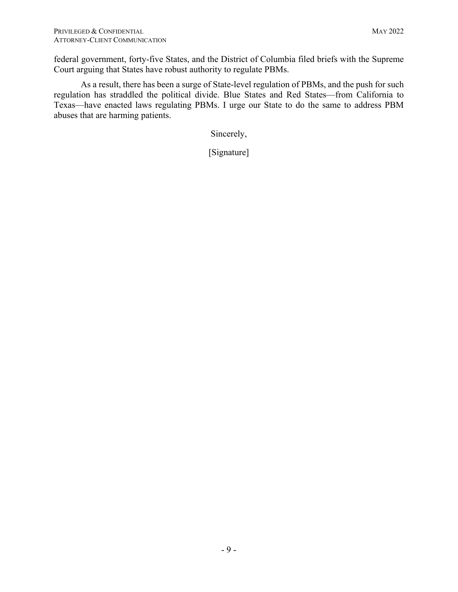federal government, forty-five States, and the District of Columbia filed briefs with the Supreme Court arguing that States have robust authority to regulate PBMs.

As a result, there has been a surge of State-level regulation of PBMs, and the push for such regulation has straddled the political divide. Blue States and Red States—from California to Texas—have enacted laws regulating PBMs. I urge our State to do the same to address PBM abuses that are harming patients.

Sincerely,

[Signature]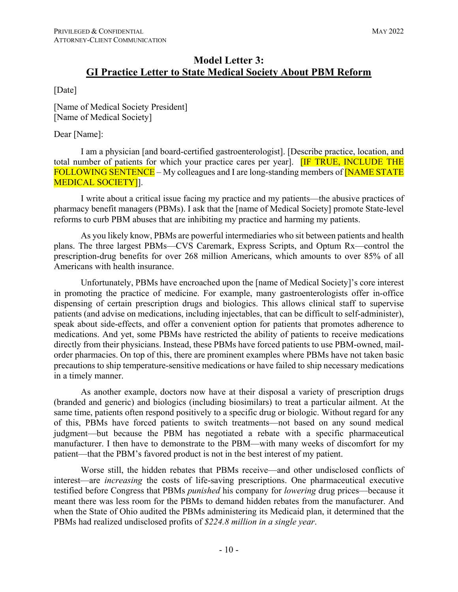## **Model Letter 3: GI Practice Letter to State Medical Society About PBM Reform**

#### [Date]

[Name of Medical Society President] [Name of Medical Society]

#### Dear [Name]:

I am a physician [and board-certified gastroenterologist]. [Describe practice, location, and total number of patients for which your practice cares per year]. **[IF TRUE, INCLUDE THE** FOLLOWING SENTENCE – My colleagues and I are long-standing members of **NAME STATE** MEDICAL SOCIETY]].

I write about a critical issue facing my practice and my patients—the abusive practices of pharmacy benefit managers (PBMs). I ask that the [name of Medical Society] promote State-level reforms to curb PBM abuses that are inhibiting my practice and harming my patients.

As you likely know, PBMs are powerful intermediaries who sit between patients and health plans. The three largest PBMs—CVS Caremark, Express Scripts, and Optum Rx—control the prescription-drug benefits for over 268 million Americans, which amounts to over 85% of all Americans with health insurance.

Unfortunately, PBMs have encroached upon the [name of Medical Society]'s core interest in promoting the practice of medicine. For example, many gastroenterologists offer in-office dispensing of certain prescription drugs and biologics. This allows clinical staff to supervise patients (and advise on medications, including injectables, that can be difficult to self-administer), speak about side-effects, and offer a convenient option for patients that promotes adherence to medications. And yet, some PBMs have restricted the ability of patients to receive medications directly from their physicians. Instead, these PBMs have forced patients to use PBM-owned, mailorder pharmacies. On top of this, there are prominent examples where PBMs have not taken basic precautions to ship temperature-sensitive medications or have failed to ship necessary medications in a timely manner.

As another example, doctors now have at their disposal a variety of prescription drugs (branded and generic) and biologics (including biosimilars) to treat a particular ailment. At the same time, patients often respond positively to a specific drug or biologic. Without regard for any of this, PBMs have forced patients to switch treatments—not based on any sound medical judgment—but because the PBM has negotiated a rebate with a specific pharmaceutical manufacturer. I then have to demonstrate to the PBM—with many weeks of discomfort for my patient—that the PBM's favored product is not in the best interest of my patient.

Worse still, the hidden rebates that PBMs receive—and other undisclosed conflicts of interest—are *increasing* the costs of life-saving prescriptions. One pharmaceutical executive testified before Congress that PBMs *punished* his company for *lowering* drug prices—because it meant there was less room for the PBMs to demand hidden rebates from the manufacturer. And when the State of Ohio audited the PBMs administering its Medicaid plan, it determined that the PBMs had realized undisclosed profits of *\$224.8 million in a single year*.